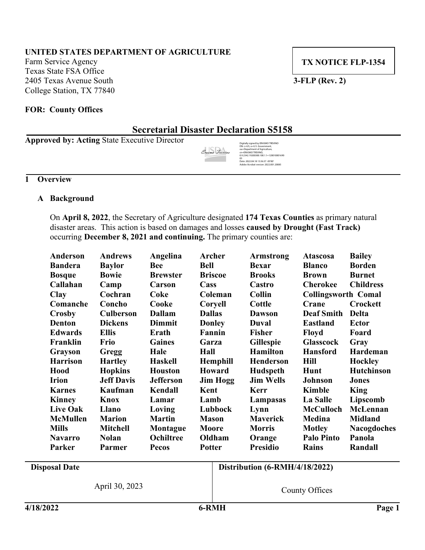# **UNITED STATES DEPARTMENT OF AGRICULTURE**

Farm Service Agency Texas State FSA Office 2405 Texas Avenue South **3-FLP (Rev. 2)** College Station, TX 77840

**TX NOTICE FLP-1354**

#### **FOR: County Offices**

# **Secretarial Disaster Declaration S5158**

**Approved by: Acting** State Executive Director

*/s/ Gary L Six* Erasmo Trevino

Digitally signed by ERASMO TREVINO DN: c=US, o=U.S. Government, ou=Department of Agriculture, cn=ERASMO TREVINO, 0.9.2342.19200300.100.1.1=120010001690 05 Date: 2022.04.18 13:36:37 -05'00' Adobe Acrobat version: 2022.001.20085

# **1 Overview**

### **A Background**

On **April 8, 2022**, the Secretary of Agriculture designated **174 Texas Counties** as primary natural disaster areas. This action is based on damages and losses **caused by Drought (Fast Track)** occurring **December 8, 2021 and continuing.** The primary counties are:

| Anderson             | <b>Andrews</b>    | Angelina         |               | Archer          | <b>Armstrong</b>               | <b>Atascosa</b>            | <b>Bailey</b>      |
|----------------------|-------------------|------------------|---------------|-----------------|--------------------------------|----------------------------|--------------------|
| <b>Bandera</b>       | <b>Baylor</b>     | <b>Bee</b>       | <b>Bell</b>   |                 | <b>Bexar</b>                   | <b>Blanco</b>              | <b>Borden</b>      |
| <b>Bosque</b>        | <b>Bowie</b>      | <b>Brewster</b>  |               | <b>Briscoe</b>  | <b>Brooks</b>                  | <b>Brown</b>               | <b>Burnet</b>      |
| Callahan             | Camp              | Carson           | Cass          |                 | Castro                         | <b>Cherokee</b>            | <b>Childress</b>   |
| <b>Clay</b>          | Cochran           | Coke             |               | Coleman         | <b>Collin</b>                  | <b>Collingsworth Comal</b> |                    |
| Comanche             | Concho            | Cooke            |               | Coryell         | Cottle                         | Crane                      | Crockett           |
| Crosby               | <b>Culberson</b>  | <b>Dallam</b>    | <b>Dallas</b> |                 | <b>Dawson</b>                  | <b>Deaf Smith</b>          | <b>Delta</b>       |
| <b>Denton</b>        | <b>Dickens</b>    | <b>Dimmit</b>    |               | <b>Donley</b>   | Duval                          | <b>Eastland</b>            | <b>Ector</b>       |
| <b>Edwards</b>       | <b>Ellis</b>      | Erath            |               | Fannin          | <b>Fisher</b>                  | Floyd                      | Foard              |
| Franklin             | Frio              | <b>Gaines</b>    | Garza         |                 | Gillespie                      | <b>Glasscock</b>           | Gray               |
| Grayson              | <b>Gregg</b>      | Hale             | Hall          |                 | <b>Hamilton</b>                | <b>Hansford</b>            | Hardeman           |
| <b>Harrison</b>      | <b>Hartley</b>    | <b>Haskell</b>   |               | <b>Hemphill</b> | <b>Henderson</b>               | Hill                       | <b>Hockley</b>     |
| Hood                 | <b>Hopkins</b>    | <b>Houston</b>   |               | Howard          | Hudspeth                       | Hunt                       | Hutchinson         |
| <b>Irion</b>         | <b>Jeff Davis</b> | <b>Jefferson</b> |               | <b>Jim Hogg</b> | <b>Jim Wells</b>               | Johnson                    | <b>Jones</b>       |
| <b>Karnes</b>        | Kaufman           | Kendall          | Kent          |                 | <b>Kerr</b>                    | <b>Kimble</b>              | King               |
| <b>Kinney</b>        | Knox              | Lamar            | Lamb          |                 | Lampasas                       | La Salle                   | Lipscomb           |
| <b>Live Oak</b>      | <b>Llano</b>      | Loving           |               | Lubbock         | Lynn                           | <b>McCulloch</b>           | McLennan           |
| <b>McMullen</b>      | <b>Marion</b>     | <b>Martin</b>    | <b>Mason</b>  |                 | <b>Maverick</b>                | Medina                     | <b>Midland</b>     |
| <b>Mills</b>         | <b>Mitchell</b>   | Montague         | Moore         |                 | <b>Morris</b>                  | <b>Motley</b>              | <b>Nacogdoches</b> |
| <b>Navarro</b>       | <b>Nolan</b>      | Ochiltree        | Oldham        |                 | Orange                         | <b>Palo Pinto</b>          | Panola             |
| Parker               | Parmer            | Pecos            | <b>Potter</b> |                 | <b>Presidio</b>                | Rains                      | Randall            |
| <b>Disposal Date</b> |                   |                  |               |                 | Distribution (6-RMH/4/18/2022) |                            |                    |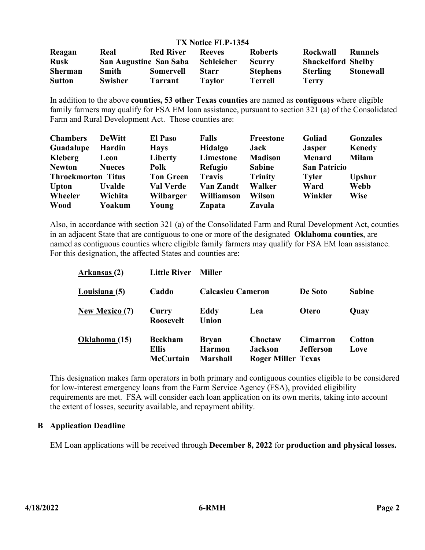#### **TX Notice FLP-1354**

| Reagan         | Real                          | <b>Red River</b> | <b>Reeves</b> | <b>Roberts</b>  | <b>Rockwall</b>           | <b>Runnels</b>   |
|----------------|-------------------------------|------------------|---------------|-----------------|---------------------------|------------------|
| <b>Rusk</b>    | <b>San Augustine San Saba</b> |                  | Schleicher    | <b>Scurry</b>   | <b>Shackelford Shelby</b> |                  |
| <b>Sherman</b> | <b>Smith</b>                  | <b>Somervell</b> | <b>Starr</b>  | <b>Stephens</b> | <b>Sterling</b>           | <b>Stonewall</b> |
| <b>Sutton</b>  | <b>Swisher</b>                | <b>Tarrant</b>   | Tavlor        | Terrell         | Terry                     |                  |

In addition to the above **counties, 53 other Texas counties** are named as **contiguous** where eligible family farmers may qualify for FSA EM loan assistance, pursuant to section 321 (a) of the Consolidated Farm and Rural Development Act. Those counties are:

| <b>Chambers</b>           | <b>DeWitt</b> | <b>El Paso</b>   | <b>Falls</b>      | Freestone      | Goliad              | <b>Gonzales</b> |
|---------------------------|---------------|------------------|-------------------|----------------|---------------------|-----------------|
| Guadalupe                 | Hardin        | <b>Hays</b>      | Hidalgo           | Jack           | <b>Jasper</b>       | <b>Kenedy</b>   |
| Kleberg                   | Leon          | Liberty          | Limestone         | <b>Madison</b> | <b>Menard</b>       | <b>Milam</b>    |
| <b>Newton</b>             | <b>Nueces</b> | Polk             | <b>Refugio</b>    | <b>Sabine</b>  | <b>San Patricio</b> |                 |
| <b>Throckmorton Titus</b> |               | <b>Ton Green</b> | <b>Travis</b>     | <b>Trinity</b> | <b>Tyler</b>        | <b>Upshur</b>   |
| <b>Upton</b>              | <b>Uvalde</b> | <b>Val Verde</b> | Van Zandt         | Walker         | Ward                | <b>Webb</b>     |
| Wheeler                   | Wichita       | Wilbarger        | <b>Williamson</b> | Wilson         | Winkler             | <b>Wise</b>     |
| <b>Wood</b>               | Yoakum        | Young            | <b>Zapata</b>     | <b>Zavala</b>  |                     |                 |

Also, in accordance with section 321 (a) of the Consolidated Farm and Rural Development Act, counties in an adjacent State that are contiguous to one or more of the designated **Oklahoma counties**, are named as contiguous counties where eligible family farmers may qualify for FSA EM loan assistance. For this designation, the affected States and counties are:

| Arkansas (2)          | <b>Little River</b>                         | <b>Miller</b>                                    |                                                        |                                     |                |
|-----------------------|---------------------------------------------|--------------------------------------------------|--------------------------------------------------------|-------------------------------------|----------------|
| Louisiana (5)         | Caddo                                       | <b>Calcasieu Cameron</b>                         |                                                        | De Soto                             | <b>Sabine</b>  |
| <b>New Mexico (7)</b> | Curry<br><b>Roosevelt</b>                   | Eddy<br>Union                                    | Lea                                                    | <b>Otero</b>                        | Quay           |
| Oklahoma (15)         | <b>Beckham</b><br><b>Ellis</b><br>McCurtain | <b>Bryan</b><br><b>Harmon</b><br><b>Marshall</b> | Choctaw<br><b>Jackson</b><br><b>Roger Miller Texas</b> | <b>Cimarron</b><br><b>Jefferson</b> | Cotton<br>Love |

This designation makes farm operators in both primary and contiguous counties eligible to be considered for low-interest emergency loans from the Farm Service Agency (FSA), provided eligibility requirements are met. FSA will consider each loan application on its own merits, taking into account the extent of losses, security available, and repayment ability.

# **B Application Deadline**

EM Loan applications will be received through **December 8, 2022** for **production and physical losses.**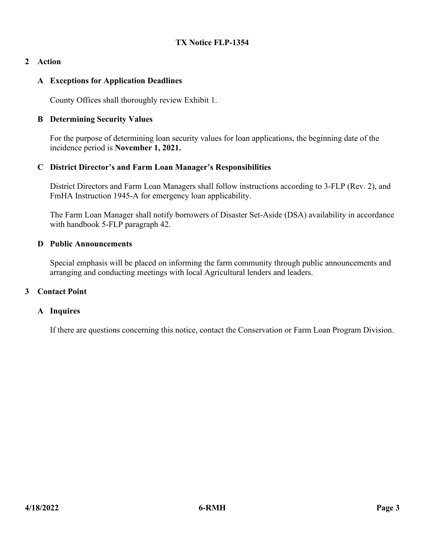# **2 Action**

# **A Exceptions for Application Deadlines**

County Offices shall thoroughly review Exhibit 1.

### **B Determining Security Values**

For the purpose of determining loan security values for loan applications, the beginning date of the incidence period is **November 1, 2021.**

### **C District Director's and Farm Loan Manager's Responsibilities**

District Directors and Farm Loan Managers shall follow instructions according to 3-FLP (Rev. 2), and FmHA Instruction 1945-A for emergency loan applicability.

The Farm Loan Manager shall notify borrowers of Disaster Set-Aside (DSA) availability in accordance with handbook 5-FLP paragraph 42.

#### **D Public Announcements**

Special emphasis will be placed on informing the farm community through public announcements and arranging and conducting meetings with local Agricultural lenders and leaders.

#### **3 Contact Point**

#### **A Inquires**

If there are questions concerning this notice, contact the Conservation or Farm Loan Program Division.